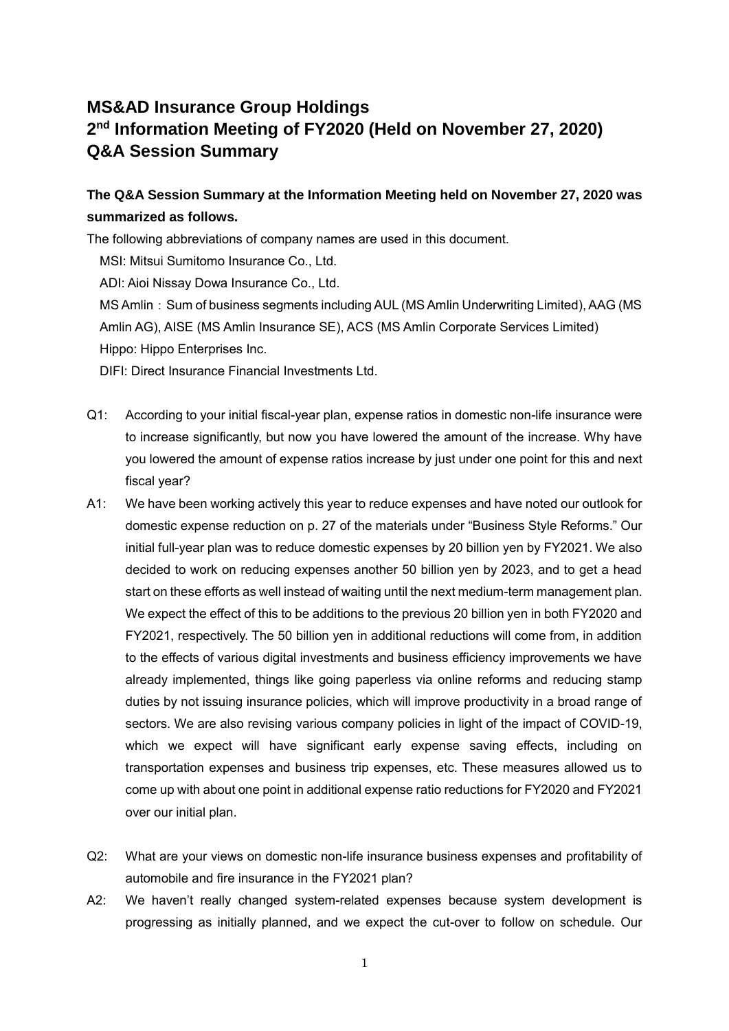## **MS&AD Insurance Group Holdings 2 nd Information Meeting of FY2020 (Held on November 27, 2020) Q&A Session Summary**

## **The Q&A Session Summary at the Information Meeting held on November 27, 2020 was summarized as follows.**

The following abbreviations of company names are used in this document.

MSI: Mitsui Sumitomo Insurance Co., Ltd.

ADI: Aioi Nissay Dowa Insurance Co., Ltd.

MS Amlin: Sum of business segments including AUL (MS Amlin Underwriting Limited), AAG (MS Amlin AG), AISE (MS Amlin Insurance SE), ACS (MS Amlin Corporate Services Limited) Hippo: Hippo Enterprises Inc.

DIFI: Direct Insurance Financial Investments Ltd.

- Q1: According to your initial fiscal-year plan, expense ratios in domestic non-life insurance were to increase significantly, but now you have lowered the amount of the increase. Why have you lowered the amount of expense ratios increase by just under one point for this and next fiscal year?
- A1: We have been working actively this year to reduce expenses and have noted our outlook for domestic expense reduction on p. 27 of the materials under "Business Style Reforms." Our initial full-year plan was to reduce domestic expenses by 20 billion yen by FY2021. We also decided to work on reducing expenses another 50 billion yen by 2023, and to get a head start on these efforts as well instead of waiting until the next medium-term management plan. We expect the effect of this to be additions to the previous 20 billion yen in both FY2020 and FY2021, respectively. The 50 billion yen in additional reductions will come from, in addition to the effects of various digital investments and business efficiency improvements we have already implemented, things like going paperless via online reforms and reducing stamp duties by not issuing insurance policies, which will improve productivity in a broad range of sectors. We are also revising various company policies in light of the impact of COVID-19, which we expect will have significant early expense saving effects, including on transportation expenses and business trip expenses, etc. These measures allowed us to come up with about one point in additional expense ratio reductions for FY2020 and FY2021 over our initial plan.
- Q2: What are your views on domestic non-life insurance business expenses and profitability of automobile and fire insurance in the FY2021 plan?
- A2: We haven't really changed system-related expenses because system development is progressing as initially planned, and we expect the cut-over to follow on schedule. Our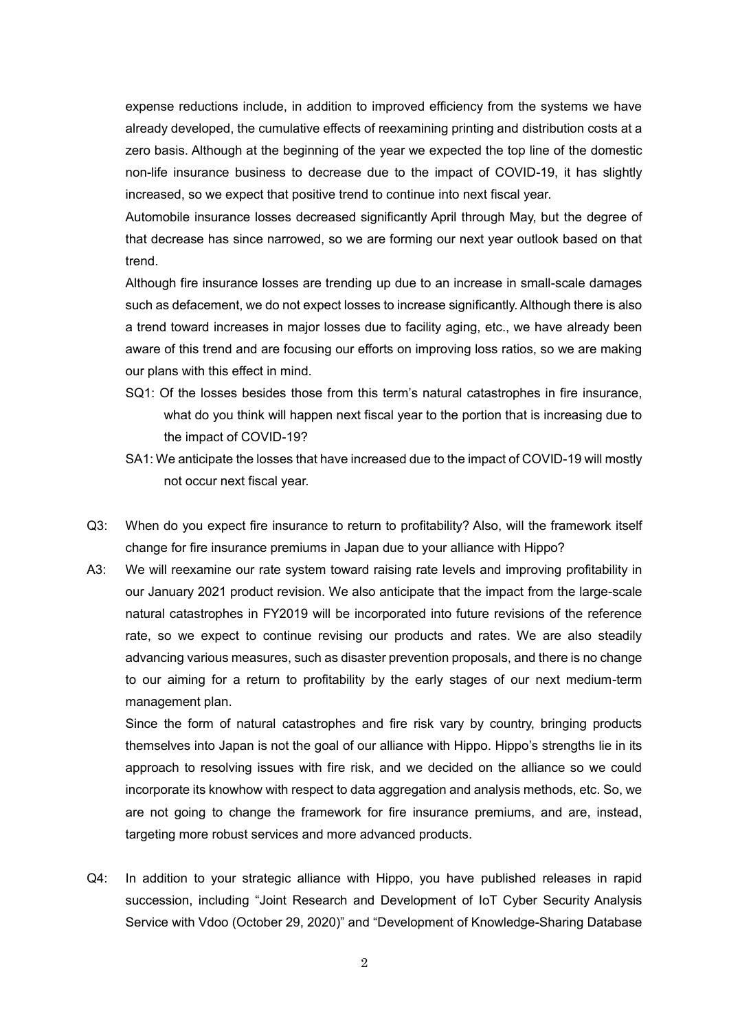expense reductions include, in addition to improved efficiency from the systems we have already developed, the cumulative effects of reexamining printing and distribution costs at a zero basis. Although at the beginning of the year we expected the top line of the domestic non-life insurance business to decrease due to the impact of COVID-19, it has slightly increased, so we expect that positive trend to continue into next fiscal year.

Automobile insurance losses decreased significantly April through May, but the degree of that decrease has since narrowed, so we are forming our next year outlook based on that trend.

Although fire insurance losses are trending up due to an increase in small-scale damages such as defacement, we do not expect losses to increase significantly. Although there is also a trend toward increases in major losses due to facility aging, etc., we have already been aware of this trend and are focusing our efforts on improving loss ratios, so we are making our plans with this effect in mind.

- SQ1: Of the losses besides those from this term's natural catastrophes in fire insurance, what do you think will happen next fiscal year to the portion that is increasing due to the impact of COVID-19?
- SA1: We anticipate the losses that have increased due to the impact of COVID-19 will mostly not occur next fiscal year.
- Q3: When do you expect fire insurance to return to profitability? Also, will the framework itself change for fire insurance premiums in Japan due to your alliance with Hippo?
- A3: We will reexamine our rate system toward raising rate levels and improving profitability in our January 2021 product revision. We also anticipate that the impact from the large-scale natural catastrophes in FY2019 will be incorporated into future revisions of the reference rate, so we expect to continue revising our products and rates. We are also steadily advancing various measures, such as disaster prevention proposals, and there is no change to our aiming for a return to profitability by the early stages of our next medium-term management plan.

Since the form of natural catastrophes and fire risk vary by country, bringing products themselves into Japan is not the goal of our alliance with Hippo. Hippo's strengths lie in its approach to resolving issues with fire risk, and we decided on the alliance so we could incorporate its knowhow with respect to data aggregation and analysis methods, etc. So, we are not going to change the framework for fire insurance premiums, and are, instead, targeting more robust services and more advanced products.

Q4: In addition to your strategic alliance with Hippo, you have published releases in rapid succession, including "Joint Research and Development of IoT Cyber Security Analysis Service with Vdoo (October 29, 2020)" and "Development of Knowledge-Sharing Database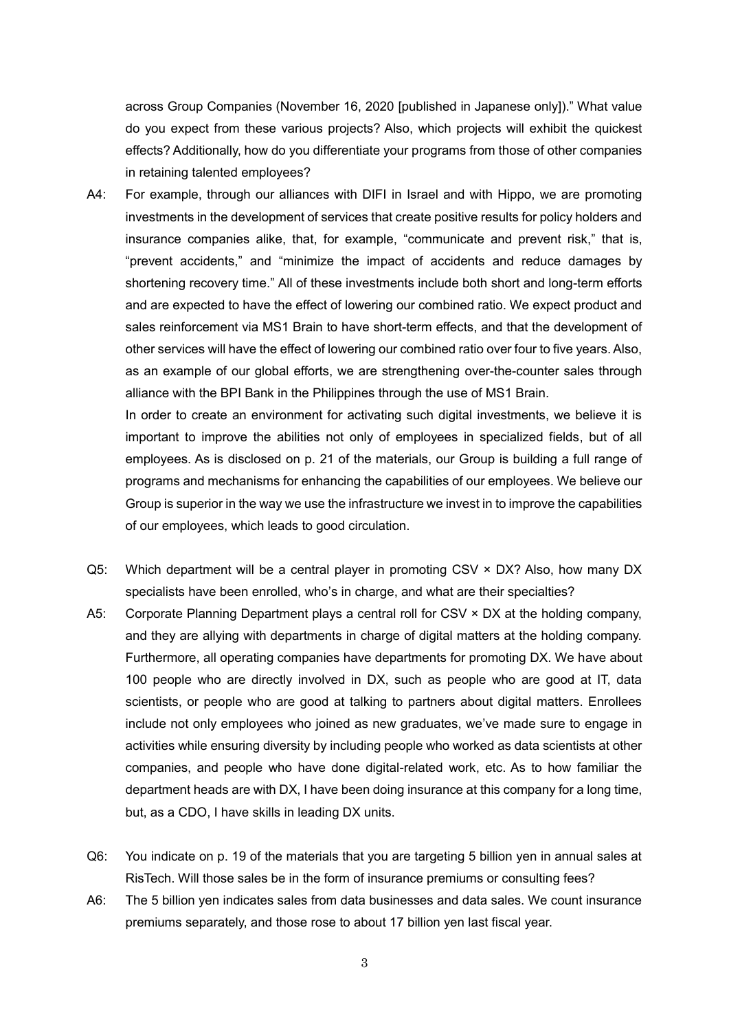across Group Companies (November 16, 2020 [published in Japanese only])." What value do you expect from these various projects? Also, which projects will exhibit the quickest effects? Additionally, how do you differentiate your programs from those of other companies in retaining talented employees?

A4: For example, through our alliances with DIFI in Israel and with Hippo, we are promoting investments in the development of services that create positive results for policy holders and insurance companies alike, that, for example, "communicate and prevent risk," that is, "prevent accidents," and "minimize the impact of accidents and reduce damages by shortening recovery time." All of these investments include both short and long-term efforts and are expected to have the effect of lowering our combined ratio. We expect product and sales reinforcement via MS1 Brain to have short-term effects, and that the development of other services will have the effect of lowering our combined ratio over four to five years. Also, as an example of our global efforts, we are strengthening over-the-counter sales through alliance with the BPI Bank in the Philippines through the use of MS1 Brain.

In order to create an environment for activating such digital investments, we believe it is important to improve the abilities not only of employees in specialized fields, but of all employees. As is disclosed on p. 21 of the materials, our Group is building a full range of programs and mechanisms for enhancing the capabilities of our employees. We believe our Group is superior in the way we use the infrastructure we invest in to improve the capabilities of our employees, which leads to good circulation.

- Q5: Which department will be a central player in promoting CSV  $\times$  DX? Also, how many DX specialists have been enrolled, who's in charge, and what are their specialties?
- A5: Corporate Planning Department plays a central roll for CSV  $\times$  DX at the holding company, and they are allying with departments in charge of digital matters at the holding company. Furthermore, all operating companies have departments for promoting DX. We have about 100 people who are directly involved in DX, such as people who are good at IT, data scientists, or people who are good at talking to partners about digital matters. Enrollees include not only employees who joined as new graduates, we've made sure to engage in activities while ensuring diversity by including people who worked as data scientists at other companies, and people who have done digital-related work, etc. As to how familiar the department heads are with DX, I have been doing insurance at this company for a long time, but, as a CDO, I have skills in leading DX units.
- Q6: You indicate on p. 19 of the materials that you are targeting 5 billion yen in annual sales at RisTech. Will those sales be in the form of insurance premiums or consulting fees?
- A6: The 5 billion yen indicates sales from data businesses and data sales. We count insurance premiums separately, and those rose to about 17 billion yen last fiscal year.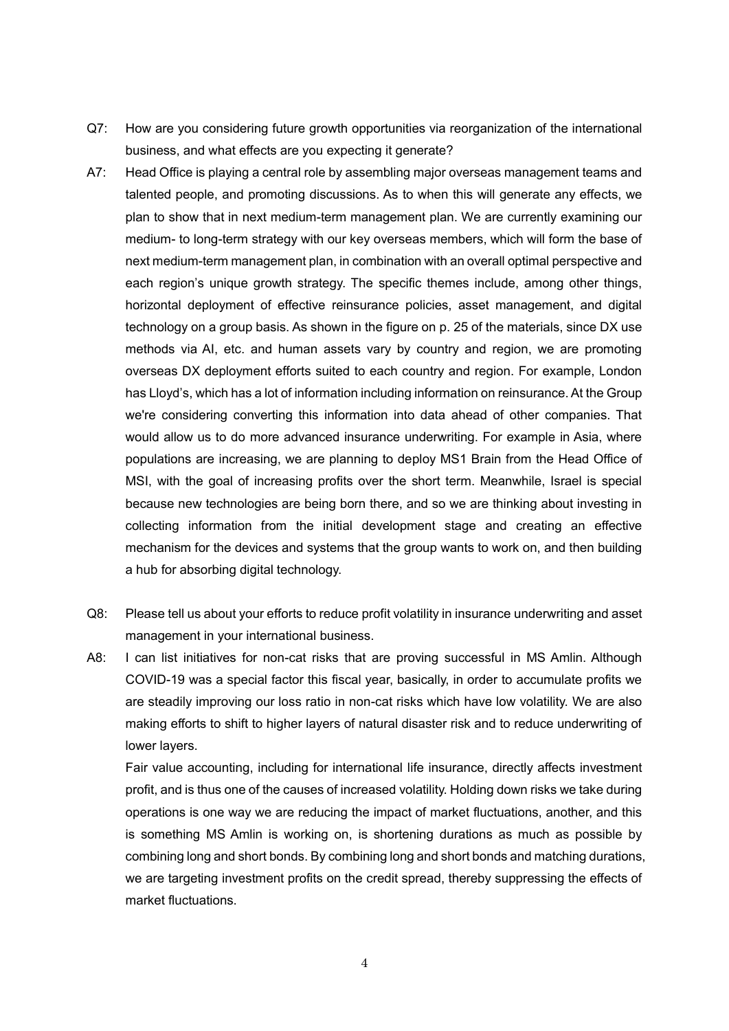- Q7: How are you considering future growth opportunities via reorganization of the international business, and what effects are you expecting it generate?
- A7: Head Office is playing a central role by assembling major overseas management teams and talented people, and promoting discussions. As to when this will generate any effects, we plan to show that in next medium-term management plan. We are currently examining our medium- to long-term strategy with our key overseas members, which will form the base of next medium-term management plan, in combination with an overall optimal perspective and each region's unique growth strategy. The specific themes include, among other things, horizontal deployment of effective reinsurance policies, asset management, and digital technology on a group basis. As shown in the figure on p. 25 of the materials, since DX use methods via AI, etc. and human assets vary by country and region, we are promoting overseas DX deployment efforts suited to each country and region. For example, London has Lloyd's, which has a lot of information including information on reinsurance. At the Group we're considering converting this information into data ahead of other companies. That would allow us to do more advanced insurance underwriting. For example in Asia, where populations are increasing, we are planning to deploy MS1 Brain from the Head Office of MSI, with the goal of increasing profits over the short term. Meanwhile, Israel is special because new technologies are being born there, and so we are thinking about investing in collecting information from the initial development stage and creating an effective mechanism for the devices and systems that the group wants to work on, and then building a hub for absorbing digital technology.
- Q8: Please tell us about your efforts to reduce profit volatility in insurance underwriting and asset management in your international business.
- A8: I can list initiatives for non-cat risks that are proving successful in MS Amlin. Although COVID-19 was a special factor this fiscal year, basically, in order to accumulate profits we are steadily improving our loss ratio in non-cat risks which have low volatility. We are also making efforts to shift to higher layers of natural disaster risk and to reduce underwriting of lower layers.

Fair value accounting, including for international life insurance, directly affects investment profit, and is thus one of the causes of increased volatility. Holding down risks we take during operations is one way we are reducing the impact of market fluctuations, another, and this is something MS Amlin is working on, is shortening durations as much as possible by combining long and short bonds. By combining long and short bonds and matching durations, we are targeting investment profits on the credit spread, thereby suppressing the effects of market fluctuations.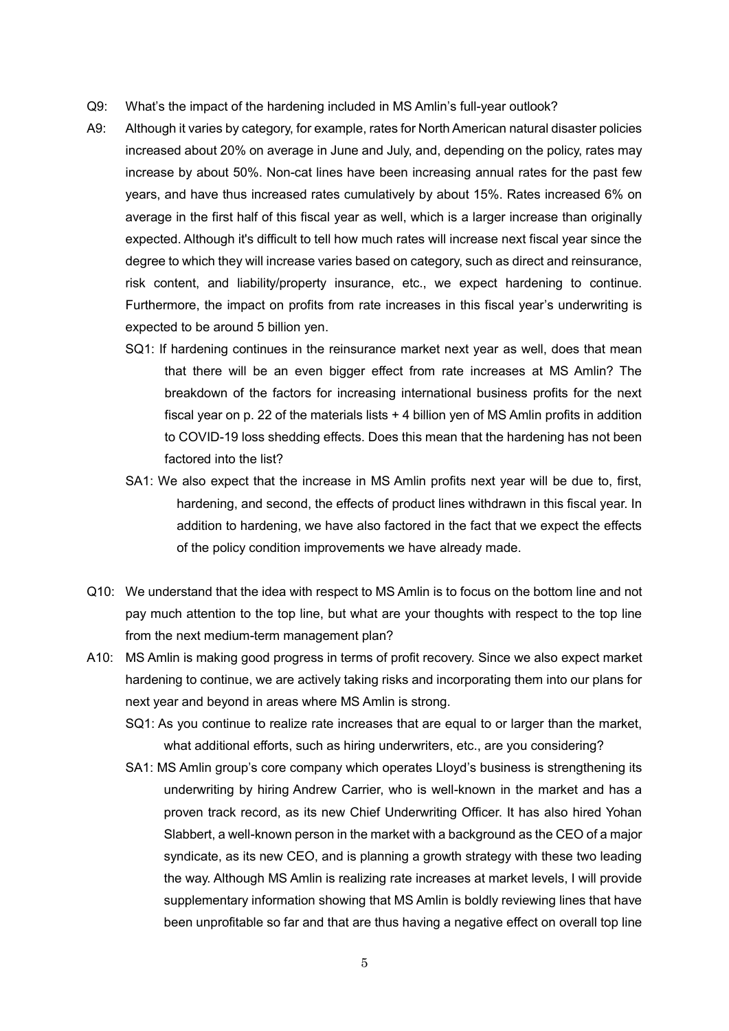- Q9: What's the impact of the hardening included in MS Amlin's full-year outlook?
- A9: Although it varies by category, for example, rates for North American natural disaster policies increased about 20% on average in June and July, and, depending on the policy, rates may increase by about 50%. Non-cat lines have been increasing annual rates for the past few years, and have thus increased rates cumulatively by about 15%. Rates increased 6% on average in the first half of this fiscal year as well, which is a larger increase than originally expected. Although it's difficult to tell how much rates will increase next fiscal year since the degree to which they will increase varies based on category, such as direct and reinsurance, risk content, and liability/property insurance, etc., we expect hardening to continue. Furthermore, the impact on profits from rate increases in this fiscal year's underwriting is expected to be around 5 billion yen.
	- SQ1: If hardening continues in the reinsurance market next year as well, does that mean that there will be an even bigger effect from rate increases at MS Amlin? The breakdown of the factors for increasing international business profits for the next fiscal year on p. 22 of the materials lists + 4 billion yen of MS Amlin profits in addition to COVID-19 loss shedding effects. Does this mean that the hardening has not been factored into the list?
	- SA1: We also expect that the increase in MS Amlin profits next year will be due to, first, hardening, and second, the effects of product lines withdrawn in this fiscal year. In addition to hardening, we have also factored in the fact that we expect the effects of the policy condition improvements we have already made.
- Q10: We understand that the idea with respect to MS Amlin is to focus on the bottom line and not pay much attention to the top line, but what are your thoughts with respect to the top line from the next medium-term management plan?
- A10: MS Amlin is making good progress in terms of profit recovery. Since we also expect market hardening to continue, we are actively taking risks and incorporating them into our plans for next year and beyond in areas where MS Amlin is strong.
	- SQ1: As you continue to realize rate increases that are equal to or larger than the market, what additional efforts, such as hiring underwriters, etc., are you considering?
	- SA1: MS Amlin group's core company which operates Lloyd's business is strengthening its underwriting by hiring Andrew Carrier, who is well-known in the market and has a proven track record, as its new Chief Underwriting Officer. It has also hired Yohan Slabbert, a well-known person in the market with a background as the CEO of a major syndicate, as its new CEO, and is planning a growth strategy with these two leading the way. Although MS Amlin is realizing rate increases at market levels, I will provide supplementary information showing that MS Amlin is boldly reviewing lines that have been unprofitable so far and that are thus having a negative effect on overall top line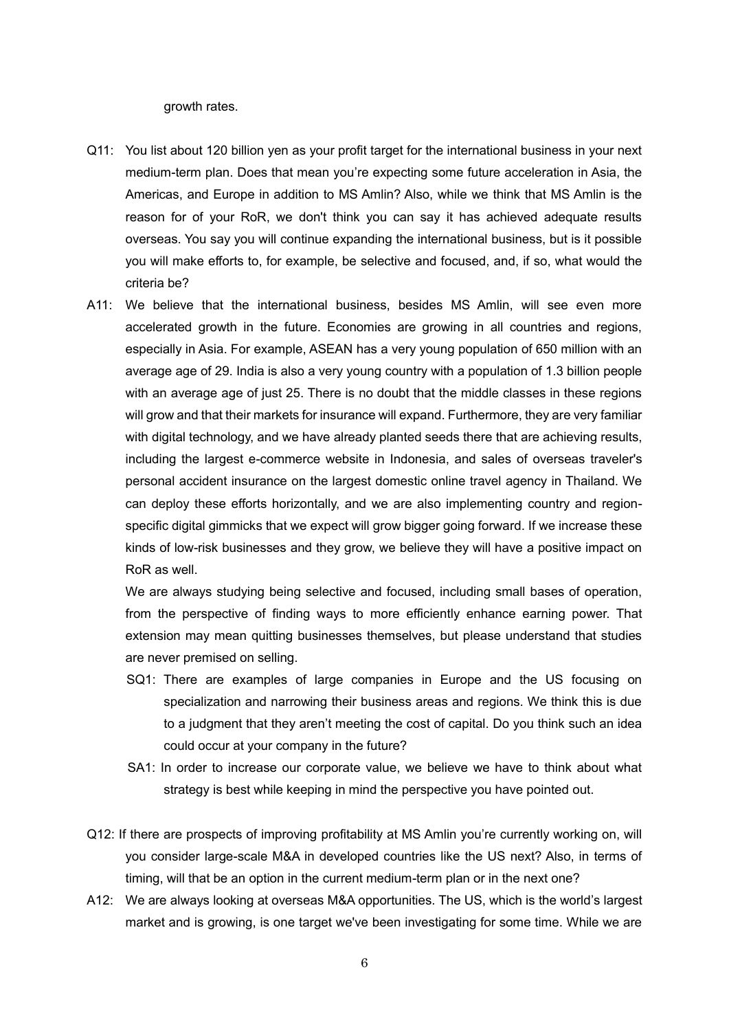growth rates.

- Q11: You list about 120 billion yen as your profit target for the international business in your next medium-term plan. Does that mean you're expecting some future acceleration in Asia, the Americas, and Europe in addition to MS Amlin? Also, while we think that MS Amlin is the reason for of your RoR, we don't think you can say it has achieved adequate results overseas. You say you will continue expanding the international business, but is it possible you will make efforts to, for example, be selective and focused, and, if so, what would the criteria be?
- A11: We believe that the international business, besides MS Amlin, will see even more accelerated growth in the future. Economies are growing in all countries and regions, especially in Asia. For example, ASEAN has a very young population of 650 million with an average age of 29. India is also a very young country with a population of 1.3 billion people with an average age of just 25. There is no doubt that the middle classes in these regions will grow and that their markets for insurance will expand. Furthermore, they are very familiar with digital technology, and we have already planted seeds there that are achieving results, including the largest e-commerce website in Indonesia, and sales of overseas traveler's personal accident insurance on the largest domestic online travel agency in Thailand. We can deploy these efforts horizontally, and we are also implementing country and regionspecific digital gimmicks that we expect will grow bigger going forward. If we increase these kinds of low-risk businesses and they grow, we believe they will have a positive impact on RoR as well.

We are always studying being selective and focused, including small bases of operation, from the perspective of finding ways to more efficiently enhance earning power. That extension may mean quitting businesses themselves, but please understand that studies are never premised on selling.

- SQ1: There are examples of large companies in Europe and the US focusing on specialization and narrowing their business areas and regions. We think this is due to a judgment that they aren't meeting the cost of capital. Do you think such an idea could occur at your company in the future?
- SA1: In order to increase our corporate value, we believe we have to think about what strategy is best while keeping in mind the perspective you have pointed out.
- Q12: If there are prospects of improving profitability at MS Amlin you're currently working on, will you consider large-scale M&A in developed countries like the US next? Also, in terms of timing, will that be an option in the current medium-term plan or in the next one?
- A12: We are always looking at overseas M&A opportunities. The US, which is the world's largest market and is growing, is one target we've been investigating for some time. While we are